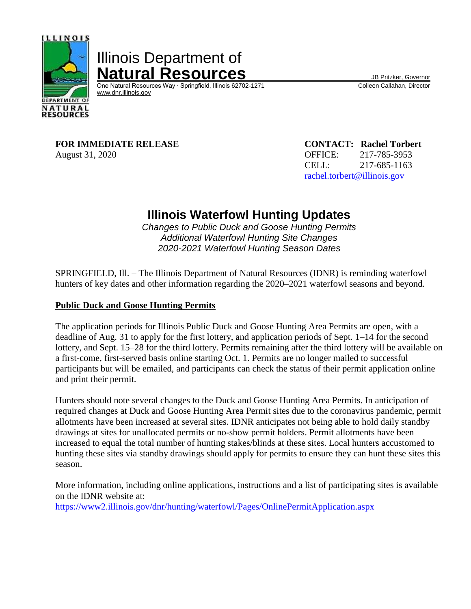

# Illinois Department of **Natural Resources**<br>
One Natural Resources Way · Springfield, Illinois 62702-1271 Colleen Callahan, Director

One Natural Resources Way ⋅ Springfield, Illinois 62702-1271 [www.dnr.illinois.gov](http://www.dnr.illinois.gov/)

**FOR IMMEDIATE RELEASE CONTACT: Rachel Torbert** August 31, 2020 **OFFICE:** 217-785-3953

CELL: 217-685-1163 [rachel.torbert@illinois.gov](mailto:rachel.torbert@illinois.gov)

# **Illinois Waterfowl Hunting Updates**

*Changes to Public Duck and Goose Hunting Permits Additional Waterfowl Hunting Site Changes 2020-2021 Waterfowl Hunting Season Dates*

SPRINGFIELD, Ill. – The Illinois Department of Natural Resources (IDNR) is reminding waterfowl hunters of key dates and other information regarding the 2020–2021 waterfowl seasons and beyond.

# **Public Duck and Goose Hunting Permits**

The application periods for Illinois Public Duck and Goose Hunting Area Permits are open, with a deadline of Aug. 31 to apply for the first lottery, and application periods of Sept. 1–14 for the second lottery, and Sept. 15–28 for the third lottery. Permits remaining after the third lottery will be available on a first-come, first-served basis online starting Oct. 1. Permits are no longer mailed to successful participants but will be emailed, and participants can check the status of their permit application online and print their permit.

Hunters should note several changes to the Duck and Goose Hunting Area Permits. In anticipation of required changes at Duck and Goose Hunting Area Permit sites due to the coronavirus pandemic, permit allotments have been increased at several sites. IDNR anticipates not being able to hold daily standby drawings at sites for unallocated permits or no-show permit holders. Permit allotments have been increased to equal the total number of hunting stakes/blinds at these sites. Local hunters accustomed to hunting these sites via standby drawings should apply for permits to ensure they can hunt these sites this season.

More information, including online applications, instructions and a list of participating sites is available on the IDNR website at:

<https://www2.illinois.gov/dnr/hunting/waterfowl/Pages/OnlinePermitApplication.aspx>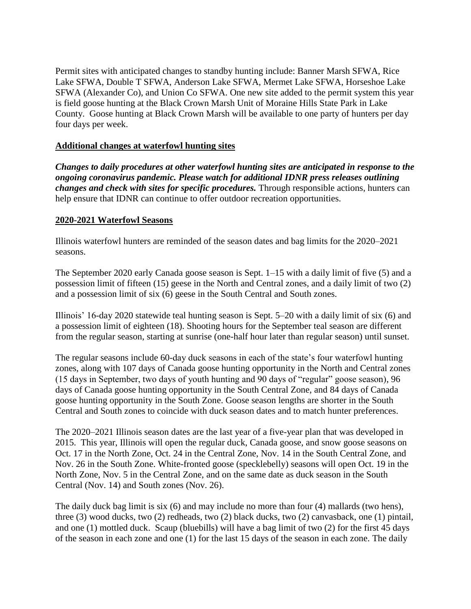Permit sites with anticipated changes to standby hunting include: Banner Marsh SFWA, Rice Lake SFWA, Double T SFWA, Anderson Lake SFWA, Mermet Lake SFWA, Horseshoe Lake SFWA (Alexander Co), and Union Co SFWA. One new site added to the permit system this year is field goose hunting at the Black Crown Marsh Unit of Moraine Hills State Park in Lake County. Goose hunting at Black Crown Marsh will be available to one party of hunters per day four days per week.

### **Additional changes at waterfowl hunting sites**

*Changes to daily procedures at other waterfowl hunting sites are anticipated in response to the ongoing coronavirus pandemic. Please watch for additional IDNR press releases outlining changes and check with sites for specific procedures.* Through responsible actions, hunters can help ensure that IDNR can continue to offer outdoor recreation opportunities.

#### **2020-2021 Waterfowl Seasons**

Illinois waterfowl hunters are reminded of the season dates and bag limits for the 2020–2021 seasons.

The September 2020 early Canada goose season is Sept. 1–15 with a daily limit of five (5) and a possession limit of fifteen (15) geese in the North and Central zones, and a daily limit of two (2) and a possession limit of six (6) geese in the South Central and South zones.

Illinois' 16-day 2020 statewide teal hunting season is Sept. 5–20 with a daily limit of six (6) and a possession limit of eighteen (18). Shooting hours for the September teal season are different from the regular season, starting at sunrise (one-half hour later than regular season) until sunset.

The regular seasons include 60-day duck seasons in each of the state's four waterfowl hunting zones, along with 107 days of Canada goose hunting opportunity in the North and Central zones (15 days in September, two days of youth hunting and 90 days of "regular" goose season), 96 days of Canada goose hunting opportunity in the South Central Zone, and 84 days of Canada goose hunting opportunity in the South Zone. Goose season lengths are shorter in the South Central and South zones to coincide with duck season dates and to match hunter preferences.

The 2020–2021 Illinois season dates are the last year of a five-year plan that was developed in 2015. This year, Illinois will open the regular duck, Canada goose, and snow goose seasons on Oct. 17 in the North Zone, Oct. 24 in the Central Zone, Nov. 14 in the South Central Zone, and Nov. 26 in the South Zone. White-fronted goose (specklebelly) seasons will open Oct. 19 in the North Zone, Nov. 5 in the Central Zone, and on the same date as duck season in the South Central (Nov. 14) and South zones (Nov. 26).

The daily duck bag limit is six (6) and may include no more than four (4) mallards (two hens), three (3) wood ducks, two (2) redheads, two (2) black ducks, two (2) canvasback, one (1) pintail, and one (1) mottled duck. Scaup (bluebills) will have a bag limit of two (2) for the first 45 days of the season in each zone and one (1) for the last 15 days of the season in each zone. The daily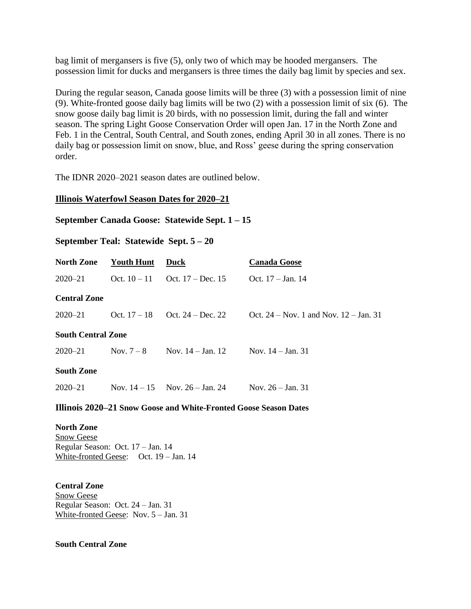bag limit of mergansers is five (5), only two of which may be hooded mergansers. The possession limit for ducks and mergansers is three times the daily bag limit by species and sex.

During the regular season, Canada goose limits will be three (3) with a possession limit of nine (9). White-fronted goose daily bag limits will be two (2) with a possession limit of six (6). The snow goose daily bag limit is 20 birds, with no possession limit, during the fall and winter season. The spring Light Goose Conservation Order will open Jan. 17 in the North Zone and Feb. 1 in the Central, South Central, and South zones, ending April 30 in all zones. There is no daily bag or possession limit on snow, blue, and Ross' geese during the spring conservation order.

The IDNR 2020–2021 season dates are outlined below.

#### **Illinois Waterfowl Season Dates for 2020–21**

#### **September Canada Goose: Statewide Sept. 1 – 15**

## **September Teal: Statewide Sept. 5 – 20**

| <b>North Zone</b>         | Youth Hunt   | Duck                                       | <b>Canada Goose</b>                        |
|---------------------------|--------------|--------------------------------------------|--------------------------------------------|
| $2020 - 21$               |              | Oct. $10-11$ Oct. $17 - Dec. 15$           | Oct. $17 - Jan. 14$                        |
| <b>Central Zone</b>       |              |                                            |                                            |
| $2020 - 21$               |              | Oct. $17-18$ Oct. $24 - Dec. 22$           | Oct. $24 - Nov. 1$ and Nov. $12 - Jan. 31$ |
| <b>South Central Zone</b> |              |                                            |                                            |
| $2020 - 21$               | Nov. $7 - 8$ | Nov. $14 - Jan. 12$                        | Nov. $14 - Jan. 31$                        |
| <b>South Zone</b>         |              |                                            |                                            |
| $2020 - 21$               |              | Nov. $14 - 15$ Nov. $26 - \text{Jan. } 24$ | Nov. $26 - Jan. 31$                        |

#### **Illinois 2020–21 Snow Goose and White-Fronted Goose Season Dates**

**North Zone** Snow Geese Regular Season: Oct. 17 – Jan. 14 White-fronted Geese: Oct. 19 – Jan. 14

**Central Zone** Snow Geese Regular Season: Oct. 24 – Jan. 31 White-fronted Geese: Nov. 5 – Jan. 31

#### **South Central Zone**